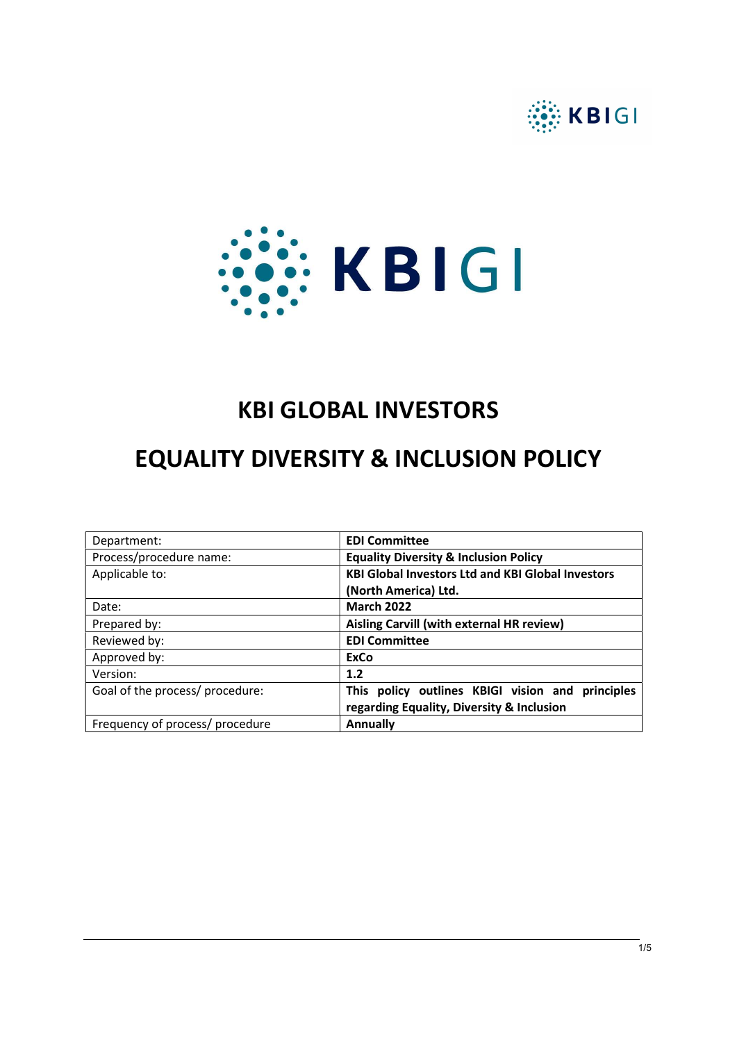



# KBI GLOBAL INVESTORS

# EQUALITY DIVERSITY & INCLUSION POLICY

| Department:                     | <b>EDI Committee</b>                                     |
|---------------------------------|----------------------------------------------------------|
| Process/procedure name:         | <b>Equality Diversity &amp; Inclusion Policy</b>         |
| Applicable to:                  | <b>KBI Global Investors Ltd and KBI Global Investors</b> |
|                                 | (North America) Ltd.                                     |
| Date:                           | <b>March 2022</b>                                        |
| Prepared by:                    | Aisling Carvill (with external HR review)                |
| Reviewed by:                    | <b>EDI Committee</b>                                     |
| Approved by:                    | ExCo                                                     |
| Version:                        | 1.2                                                      |
| Goal of the process/ procedure: | This policy outlines KBIGI vision and principles         |
|                                 | regarding Equality, Diversity & Inclusion                |
| Frequency of process/ procedure | <b>Annually</b>                                          |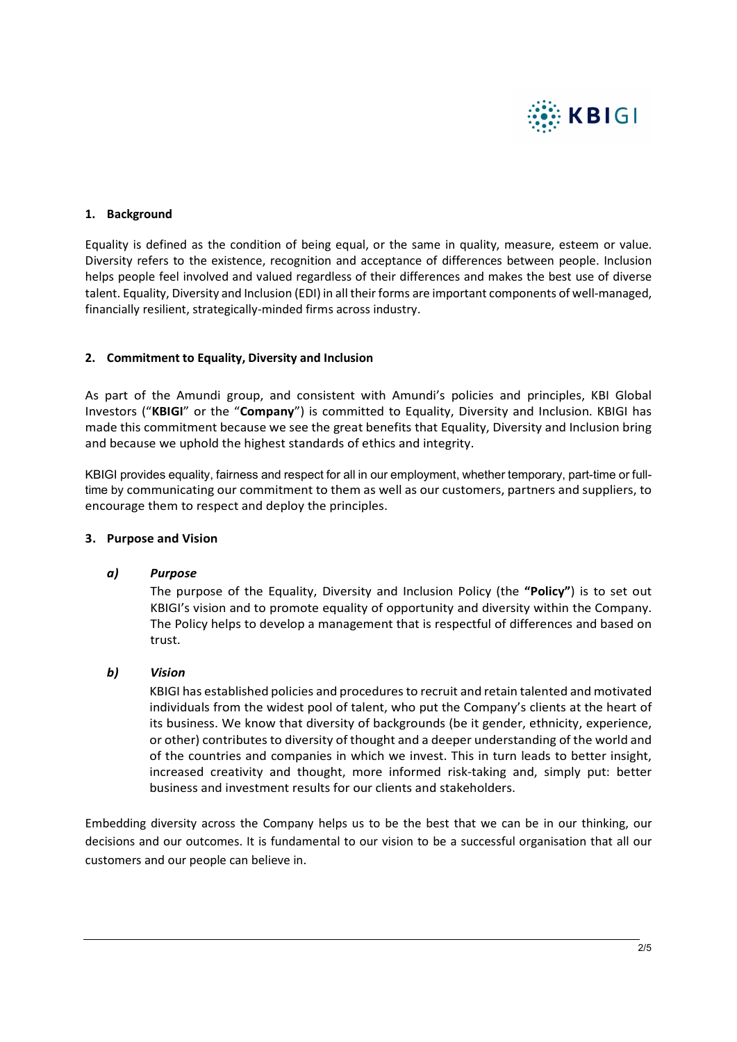

#### 1. Background

Equality is defined as the condition of being equal, or the same in quality, measure, esteem or value. Diversity refers to the existence, recognition and acceptance of differences between people. Inclusion helps people feel involved and valued regardless of their differences and makes the best use of diverse talent. Equality, Diversity and Inclusion (EDI) in all their forms are important components of well-managed, financially resilient, strategically-minded firms across industry.

#### 2. Commitment to Equality, Diversity and Inclusion

As part of the Amundi group, and consistent with Amundi's policies and principles, KBI Global Investors ("KBIGI" or the "Company") is committed to Equality, Diversity and Inclusion. KBIGI has made this commitment because we see the great benefits that Equality, Diversity and Inclusion bring and because we uphold the highest standards of ethics and integrity.

KBIGI provides equality, fairness and respect for all in our employment, whether temporary, part-time or fulltime by communicating our commitment to them as well as our customers, partners and suppliers, to encourage them to respect and deploy the principles.

#### 3. Purpose and Vision

#### a) Purpose

The purpose of the Equality, Diversity and Inclusion Policy (the "Policy") is to set out KBIGI's vision and to promote equality of opportunity and diversity within the Company. The Policy helps to develop a management that is respectful of differences and based on trust.

#### b) Vision

KBIGI has established policies and procedures to recruit and retain talented and motivated individuals from the widest pool of talent, who put the Company's clients at the heart of its business. We know that diversity of backgrounds (be it gender, ethnicity, experience, or other) contributes to diversity of thought and a deeper understanding of the world and of the countries and companies in which we invest. This in turn leads to better insight, increased creativity and thought, more informed risk-taking and, simply put: better business and investment results for our clients and stakeholders.

Embedding diversity across the Company helps us to be the best that we can be in our thinking, our decisions and our outcomes. It is fundamental to our vision to be a successful organisation that all our customers and our people can believe in.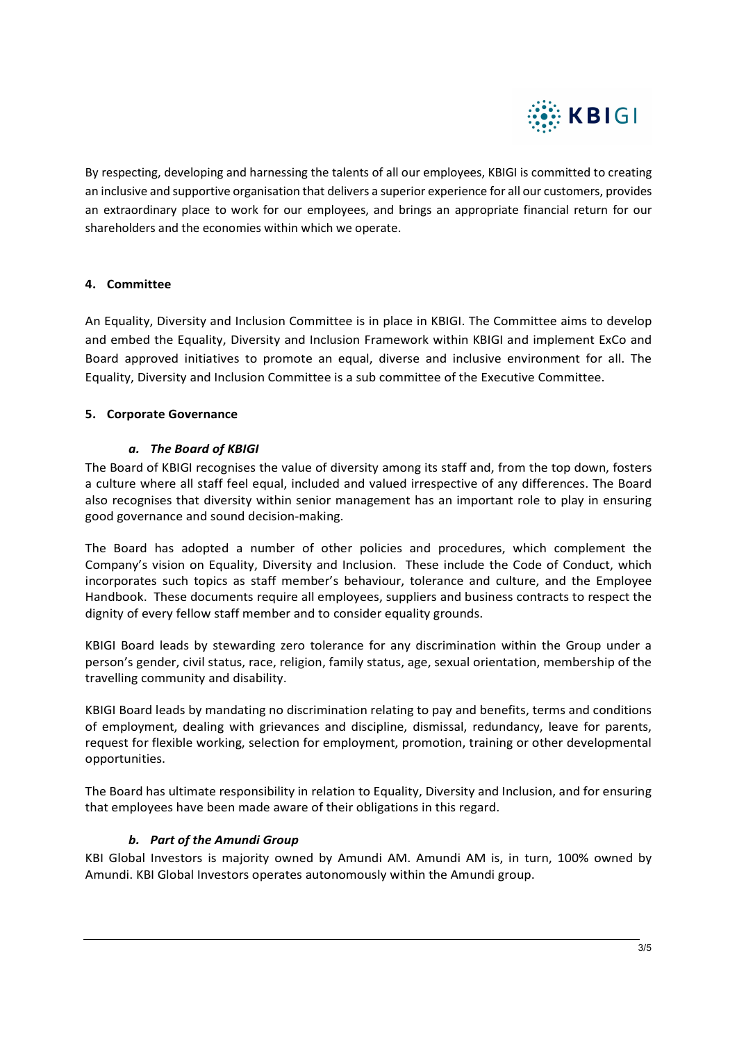

By respecting, developing and harnessing the talents of all our employees, KBIGI is committed to creating an inclusive and supportive organisation that delivers a superior experience for all our customers, provides an extraordinary place to work for our employees, and brings an appropriate financial return for our shareholders and the economies within which we operate.

## 4. Committee

An Equality, Diversity and Inclusion Committee is in place in KBIGI. The Committee aims to develop and embed the Equality, Diversity and Inclusion Framework within KBIGI and implement ExCo and Board approved initiatives to promote an equal, diverse and inclusive environment for all. The Equality, Diversity and Inclusion Committee is a sub committee of the Executive Committee.

#### 5. Corporate Governance

## a. The Board of KBIGI

The Board of KBIGI recognises the value of diversity among its staff and, from the top down, fosters a culture where all staff feel equal, included and valued irrespective of any differences. The Board also recognises that diversity within senior management has an important role to play in ensuring good governance and sound decision-making.

The Board has adopted a number of other policies and procedures, which complement the Company's vision on Equality, Diversity and Inclusion. These include the Code of Conduct, which incorporates such topics as staff member's behaviour, tolerance and culture, and the Employee Handbook. These documents require all employees, suppliers and business contracts to respect the dignity of every fellow staff member and to consider equality grounds.

KBIGI Board leads by stewarding zero tolerance for any discrimination within the Group under a person's gender, civil status, race, religion, family status, age, sexual orientation, membership of the travelling community and disability.

KBIGI Board leads by mandating no discrimination relating to pay and benefits, terms and conditions of employment, dealing with grievances and discipline, dismissal, redundancy, leave for parents, request for flexible working, selection for employment, promotion, training or other developmental opportunities.

The Board has ultimate responsibility in relation to Equality, Diversity and Inclusion, and for ensuring that employees have been made aware of their obligations in this regard.

#### b. Part of the Amundi Group

KBI Global Investors is majority owned by Amundi AM. Amundi AM is, in turn, 100% owned by Amundi. KBI Global Investors operates autonomously within the Amundi group.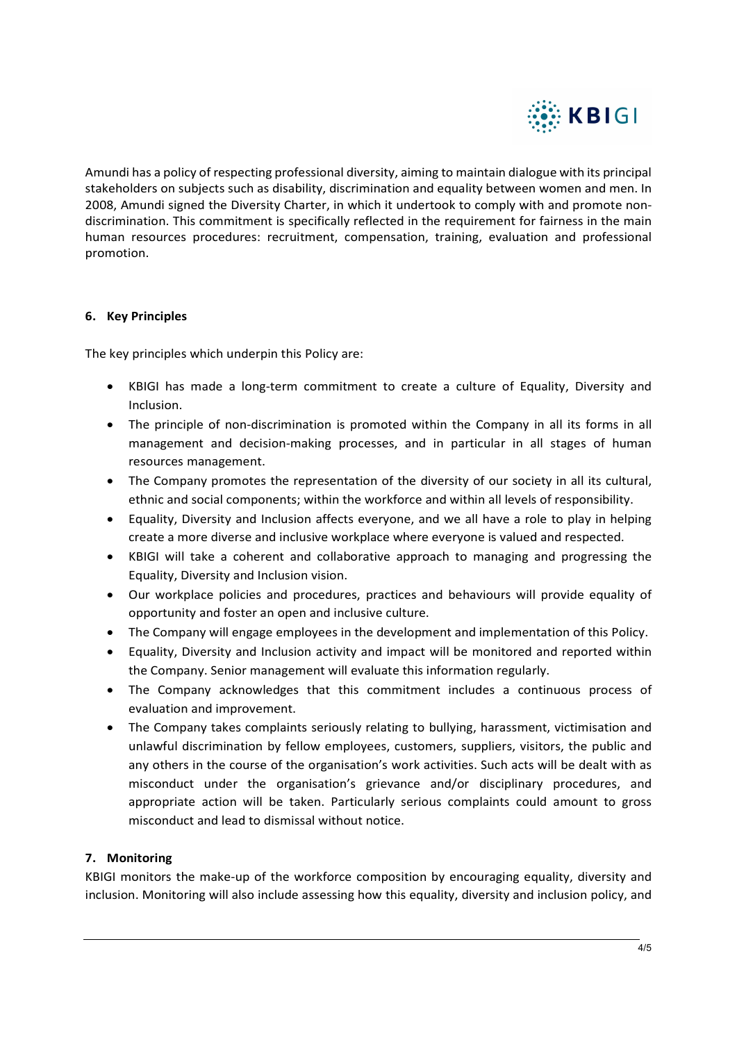

Amundi has a policy of respecting professional diversity, aiming to maintain dialogue with its principal stakeholders on subjects such as disability, discrimination and equality between women and men. In 2008, Amundi signed the Diversity Charter, in which it undertook to comply with and promote nondiscrimination. This commitment is specifically reflected in the requirement for fairness in the main human resources procedures: recruitment, compensation, training, evaluation and professional promotion.

## 6. Key Principles

The key principles which underpin this Policy are:

- KBIGI has made a long-term commitment to create a culture of Equality, Diversity and Inclusion.
- The principle of non-discrimination is promoted within the Company in all its forms in all management and decision-making processes, and in particular in all stages of human resources management.
- The Company promotes the representation of the diversity of our society in all its cultural, ethnic and social components; within the workforce and within all levels of responsibility.
- Equality, Diversity and Inclusion affects everyone, and we all have a role to play in helping create a more diverse and inclusive workplace where everyone is valued and respected.
- KBIGI will take a coherent and collaborative approach to managing and progressing the Equality, Diversity and Inclusion vision.
- Our workplace policies and procedures, practices and behaviours will provide equality of opportunity and foster an open and inclusive culture.
- The Company will engage employees in the development and implementation of this Policy.
- Equality, Diversity and Inclusion activity and impact will be monitored and reported within the Company. Senior management will evaluate this information regularly.
- The Company acknowledges that this commitment includes a continuous process of evaluation and improvement.
- The Company takes complaints seriously relating to bullying, harassment, victimisation and unlawful discrimination by fellow employees, customers, suppliers, visitors, the public and any others in the course of the organisation's work activities. Such acts will be dealt with as misconduct under the organisation's grievance and/or disciplinary procedures, and appropriate action will be taken. Particularly serious complaints could amount to gross misconduct and lead to dismissal without notice.

#### 7. Monitoring

KBIGI monitors the make-up of the workforce composition by encouraging equality, diversity and inclusion. Monitoring will also include assessing how this equality, diversity and inclusion policy, and